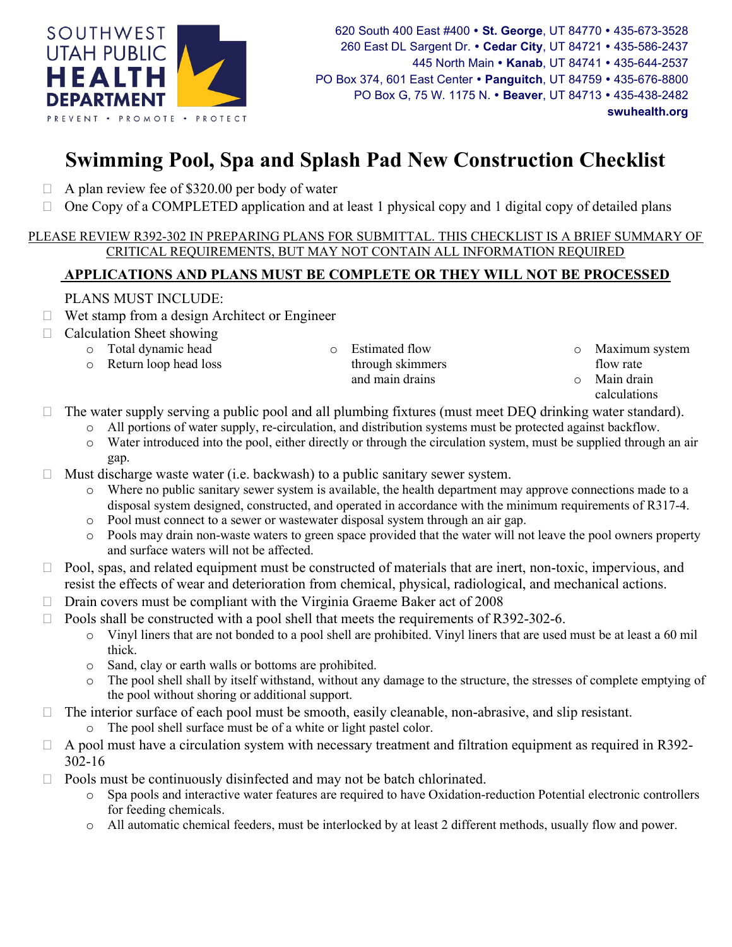

## Swimming Pool, Spa and Splash Pad New Construction Checklist

- $\Box$  A plan review fee of \$320.00 per body of water
- $\Box$  One Copy of a COMPLETED application and at least 1 physical copy and 1 digital copy of detailed plans

## PLEASE REVIEW R392-302 IN PREPARING PLANS FOR SUBMITTAL. THIS CHECKLIST IS A BRIEF SUMMARY OF CRITICAL REQUIREMENTS, BUT MAY NOT CONTAIN ALL INFORMATION REQUIRED

## APPLICATIONS AND PLANS MUST BE COMPLETE OR THEY WILL NOT BE PROCESSED

## PLANS MUST INCLUDE:

- $\Box$  Wet stamp from a design Architect or Engineer
- $\Box$  Calculation Sheet showing
	- o Total dynamic head
	- o Return loop head loss

o Estimated flow through skimmers and main drains

- Maximum system
- flow rate
- o Main drain calculations
- $\Box$  The water supply serving a public pool and all plumbing fixtures (must meet DEQ drinking water standard).
	- o All portions of water supply, re-circulation, and distribution systems must be protected against backflow.
		- o Water introduced into the pool, either directly or through the circulation system, must be supplied through an air gap.
- $\Box$  Must discharge waste water (i.e. backwash) to a public sanitary sewer system.
	- Where no public sanitary sewer system is available, the health department may approve connections made to a disposal system designed, constructed, and operated in accordance with the minimum requirements of R317-4.
	- o Pool must connect to a sewer or wastewater disposal system through an air gap.
	- o Pools may drain non-waste waters to green space provided that the water will not leave the pool owners property and surface waters will not be affected.
- $\Box$  Pool, spas, and related equipment must be constructed of materials that are inert, non-toxic, impervious, and resist the effects of wear and deterioration from chemical, physical, radiological, and mechanical actions.
- $\Box$  Drain covers must be compliant with the Virginia Graeme Baker act of 2008
- $\Box$  Pools shall be constructed with a pool shell that meets the requirements of R392-302-6.
	- o Vinyl liners that are not bonded to a pool shell are prohibited. Vinyl liners that are used must be at least a 60 mil thick.
	- o Sand, clay or earth walls or bottoms are prohibited.
	- o The pool shell shall by itself withstand, without any damage to the structure, the stresses of complete emptying of the pool without shoring or additional support.
- $\Box$  The interior surface of each pool must be smooth, easily cleanable, non-abrasive, and slip resistant. The pool shell surface must be of a white or light pastel color.
- $\Box$  A pool must have a circulation system with necessary treatment and filtration equipment as required in R392-302-16
- $\Box$  Pools must be continuously disinfected and may not be batch chlorinated.
	- o Spa pools and interactive water features are required to have Oxidation-reduction Potential electronic controllers for feeding chemicals.
	- o All automatic chemical feeders, must be interlocked by at least 2 different methods, usually flow and power.